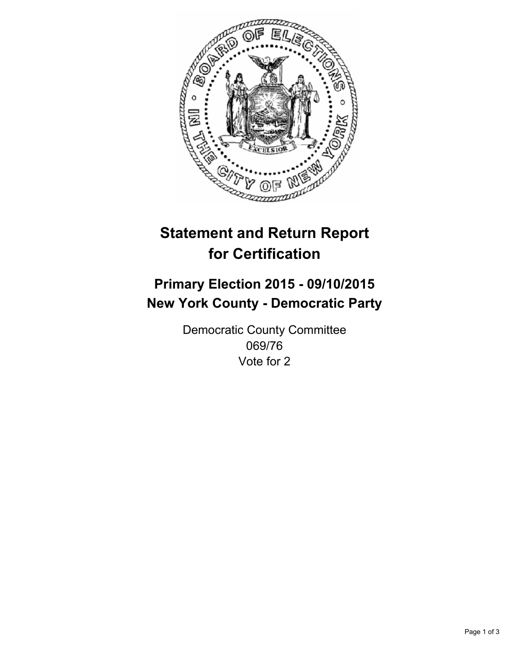

# **Statement and Return Report for Certification**

## **Primary Election 2015 - 09/10/2015 New York County - Democratic Party**

Democratic County Committee 069/76 Vote for 2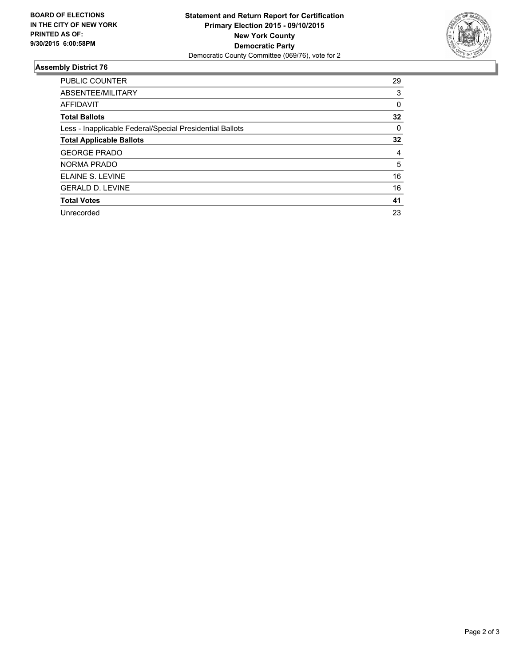

#### **Assembly District 76**

| <b>PUBLIC COUNTER</b>                                    | 29 |
|----------------------------------------------------------|----|
| ABSENTEE/MILITARY                                        | 3  |
| <b>AFFIDAVIT</b>                                         | 0  |
| <b>Total Ballots</b>                                     | 32 |
| Less - Inapplicable Federal/Special Presidential Ballots | 0  |
| <b>Total Applicable Ballots</b>                          | 32 |
| <b>GEORGE PRADO</b>                                      | 4  |
| <b>NORMA PRADO</b>                                       | 5  |
| ELAINE S. LEVINE                                         | 16 |
| <b>GERALD D. LEVINE</b>                                  | 16 |
| <b>Total Votes</b>                                       | 41 |
| Unrecorded                                               | 23 |